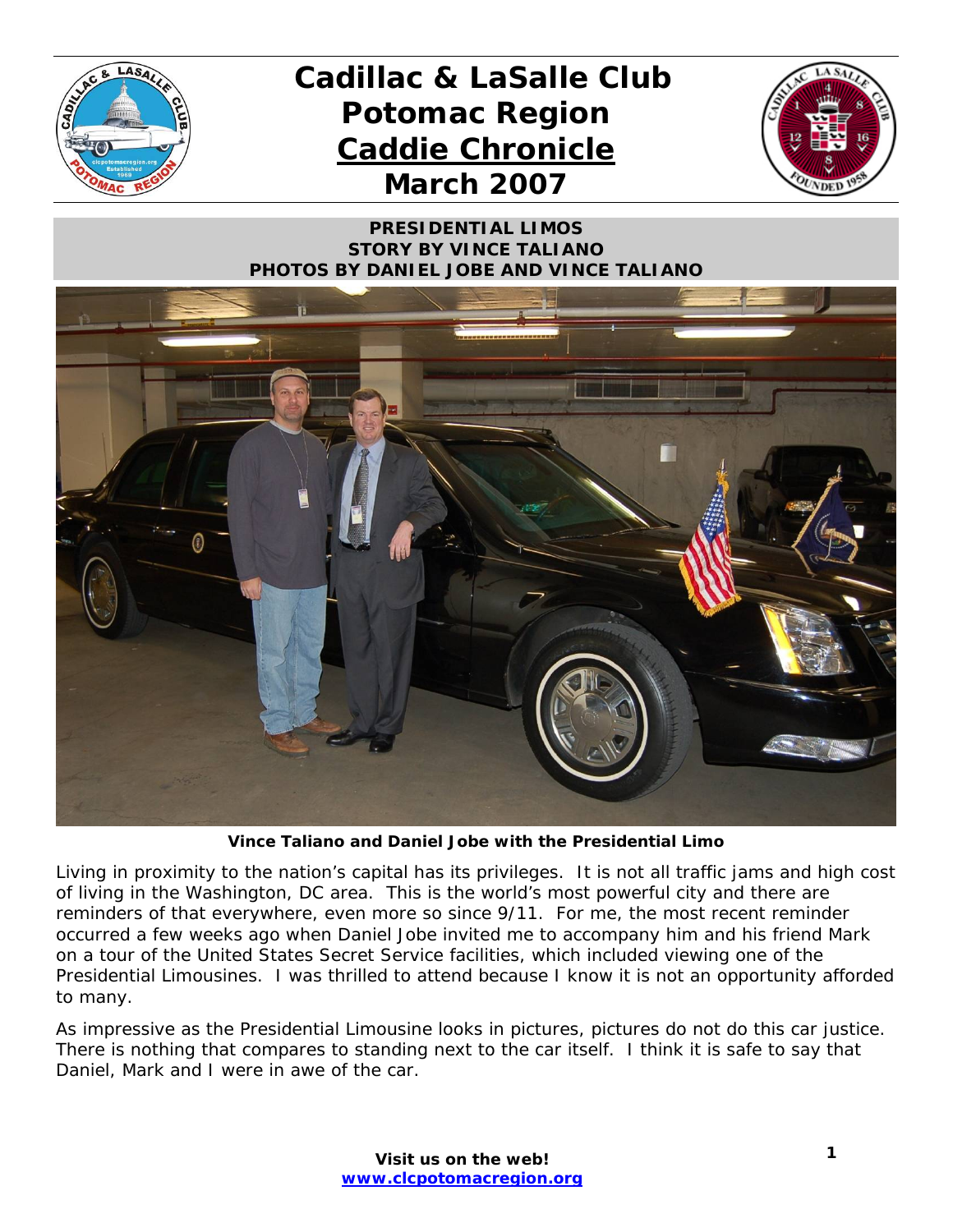



## *PRESIDENTIAL LIMOS STORY BY VINCE TALIANO PHOTOS BY DANIEL JOBE AND VINCE TALIANO*



**Vince Taliano and Daniel Jobe with the Presidential Limo** 

Living in proximity to the nation's capital has its privileges. It is not all traffic jams and high cost of living in the Washington, DC area. This is the world's most powerful city and there are reminders of that everywhere, even more so since 9/11. For me, the most recent reminder occurred a few weeks ago when Daniel Jobe invited me to accompany him and his friend Mark on a tour of the United States Secret Service facilities, which included viewing one of the Presidential Limousines. I was thrilled to attend because I know it is not an opportunity afforded to many.

As impressive as the Presidential Limousine looks in pictures, pictures do not do this car justice. There is nothing that compares to standing next to the car itself. I think it is safe to say that Daniel, Mark and I were in awe of the car.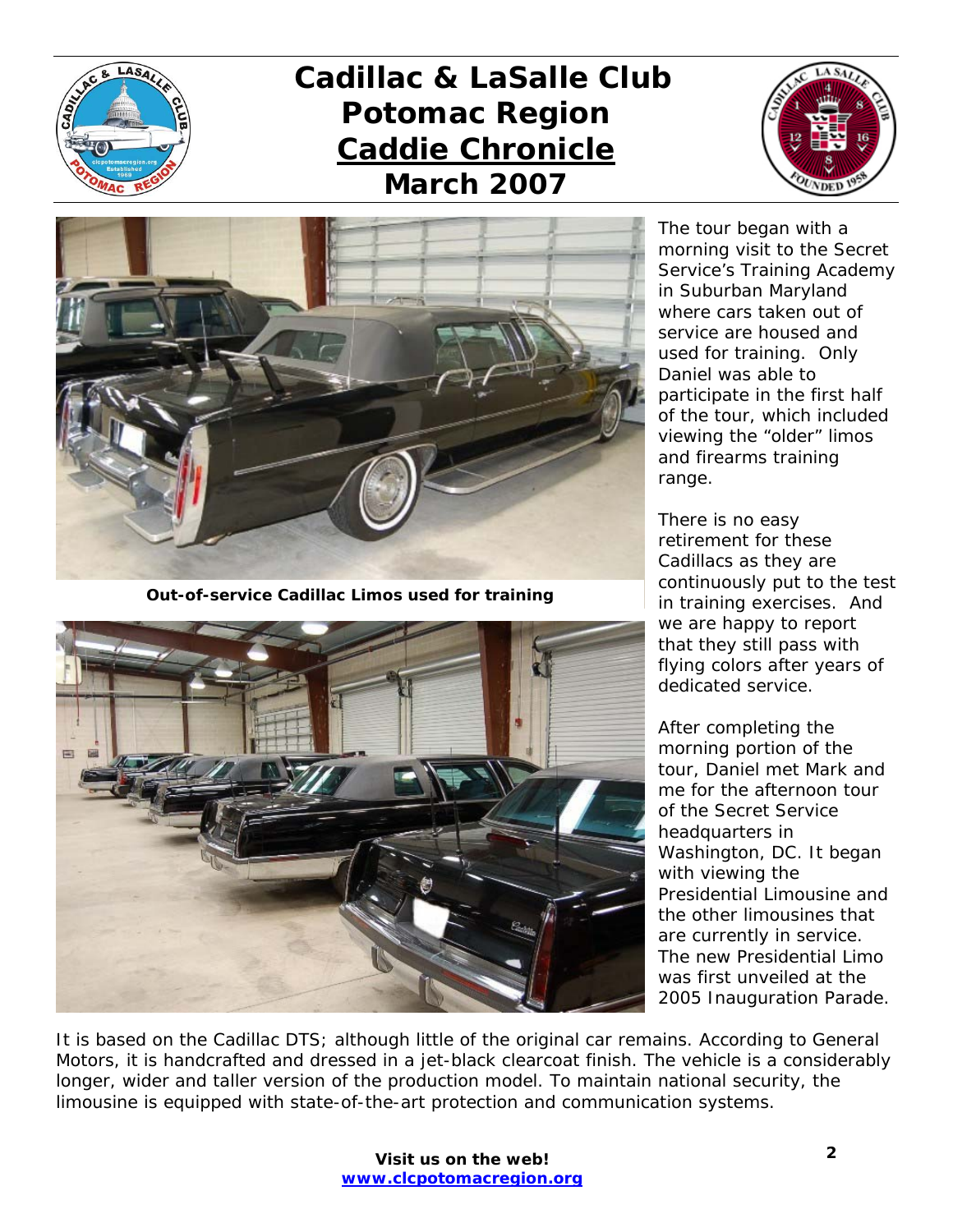





**Out-of-service Cadillac Limos used for training** 



The tour began with a morning visit to the Secret Service's Training Academy in Suburban Maryland where cars taken out of service are housed and used for training. Only Daniel was able to participate in the first half of the tour, which included viewing the "older" limos and firearms training range.

There is no easy retirement for these Cadillacs as they are continuously put to the test in training exercises. And we are happy to report that they still pass with flying colors after years of dedicated service.

After completing the morning portion of the tour, Daniel met Mark and me for the afternoon tour of the Secret Service headquarters in Washington, DC. It began with viewing the Presidential Limousine and the other limousines that are currently in service. The new Presidential Limo was first unveiled at the 2005 Inauguration Parade.

It is based on the Cadillac DTS; although little of the original car remains. According to General Motors, it is handcrafted and dressed in a jet-black clearcoat finish. The vehicle is a considerably longer, wider and taller version of the production model. To maintain national security, the limousine is equipped with state-of-the-art protection and communication systems.

## *Visit us on the web!* **www.clcpotomacregion.org**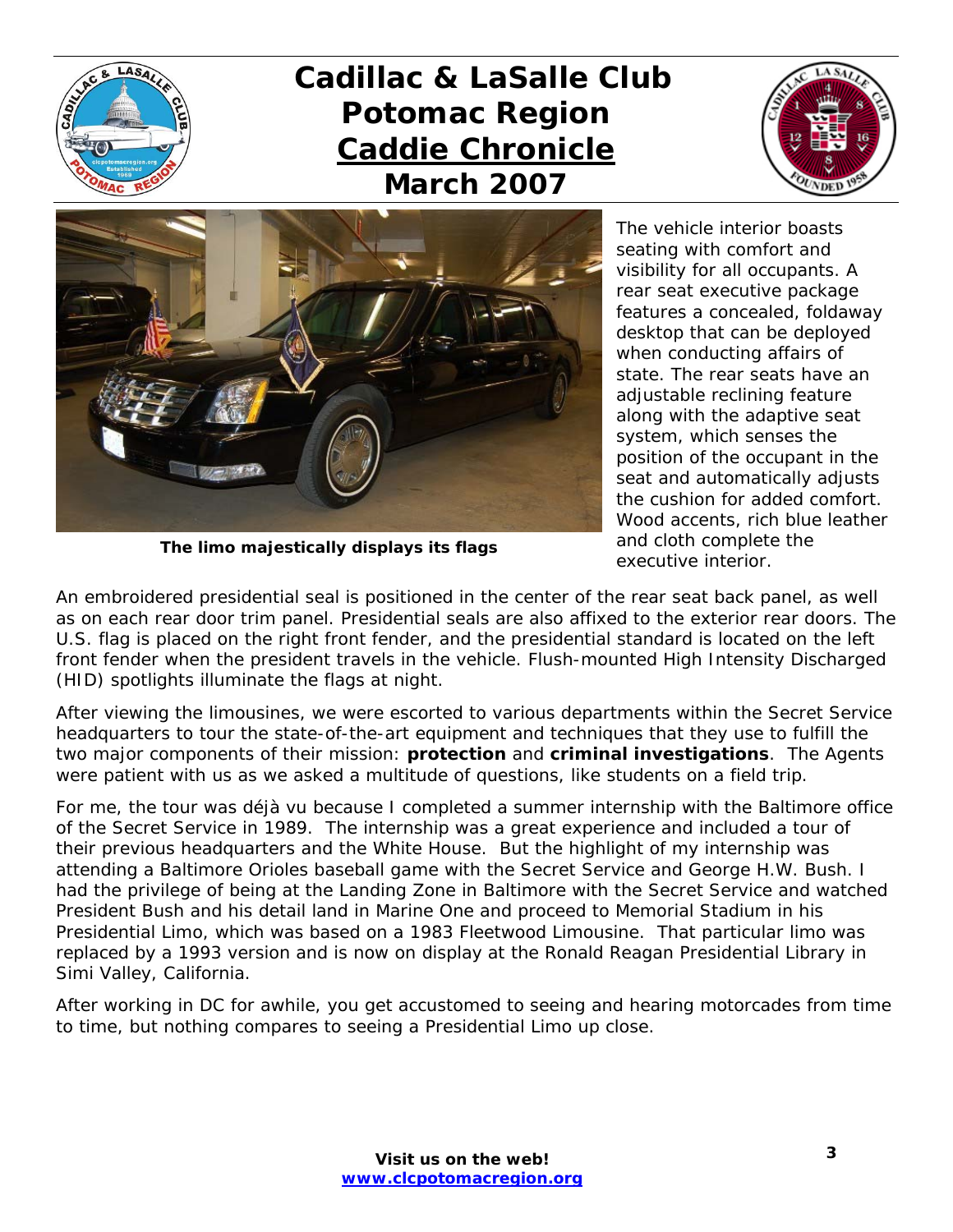





**The limo majestically displays its flags**

The vehicle interior boasts seating with comfort and visibility for all occupants. A rear seat executive package features a concealed, foldaway desktop that can be deployed when conducting affairs of state. The rear seats have an adjustable reclining feature along with the adaptive seat system, which senses the position of the occupant in the seat and automatically adjusts the cushion for added comfort. Wood accents, rich blue leather and cloth complete the executive interior.

An embroidered presidential seal is positioned in the center of the rear seat back panel, as well as on each rear door trim panel. Presidential seals are also affixed to the exterior rear doors. The U.S. flag is placed on the right front fender, and the presidential standard is located on the left front fender when the president travels in the vehicle. Flush-mounted High Intensity Discharged (HID) spotlights illuminate the flags at night.

After viewing the limousines, we were escorted to various departments within the Secret Service headquarters to tour the state-of-the-art equipment and techniques that they use to fulfill the two major components of their mission: **protection** and **criminal investigations**. The Agents were patient with us as we asked a multitude of questions, like students on a field trip.

For me, the tour was déjà vu because I completed a summer internship with the Baltimore office of the Secret Service in 1989. The internship was a great experience and included a tour of their previous headquarters and the White House. But the highlight of my internship was attending a Baltimore Orioles baseball game with the Secret Service and George H.W. Bush. I had the privilege of being at the Landing Zone in Baltimore with the Secret Service and watched President Bush and his detail land in Marine One and proceed to Memorial Stadium in his Presidential Limo, which was based on a 1983 Fleetwood Limousine. That particular limo was replaced by a 1993 version and is now on display at the Ronald Reagan Presidential Library in Simi Valley, California.

After working in DC for awhile, you get accustomed to seeing and hearing motorcades from time to time, but nothing compares to seeing a Presidential Limo up close.